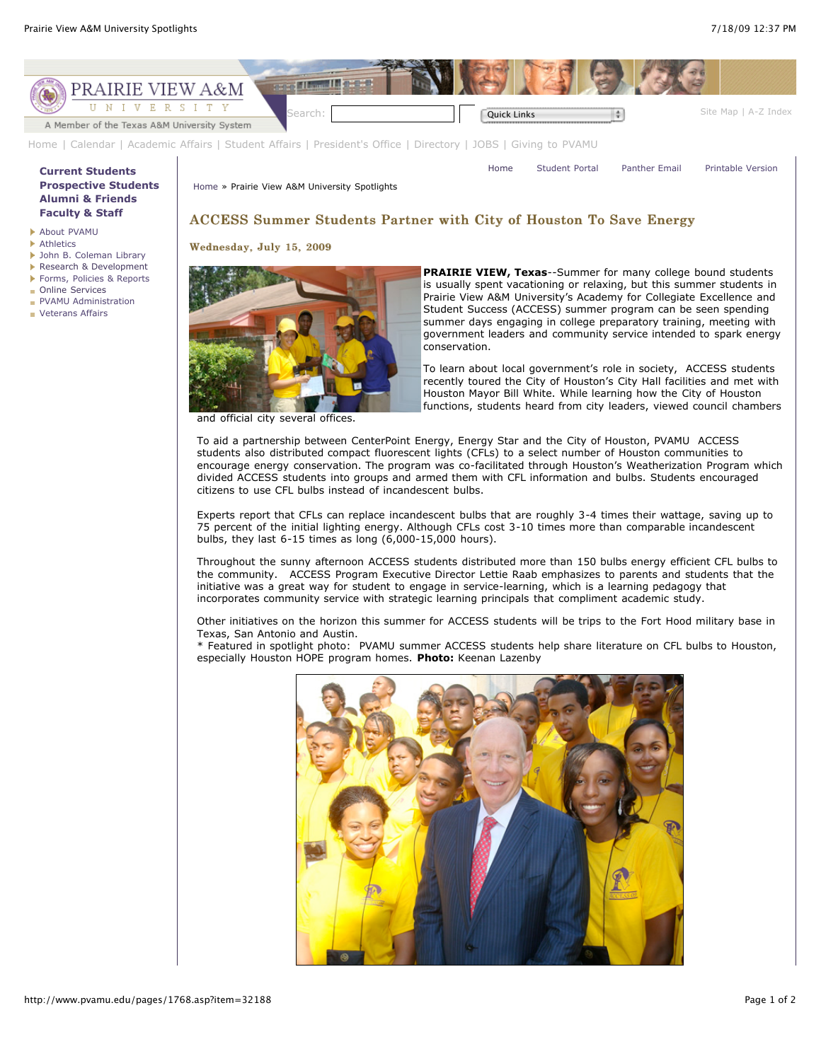

[Home](http://www.pvamu.edu/pages/1.asp) | [Calendar](http://www.pvamu.edu/pages/222.asp) | [Academic Affairs](http://www.pvamu.edu/pages/116.asp) | [Student Affairs](http://www.pvamu.edu/pages/1441.asp) | [President's Office](http://www.pvamu.edu/pages/117.asp) | [Directory](http://www.pvamu.edu/pages/225.asp) | [JOBS](http://www.pvamu.edu/pages/118.asp) | [Giving to PVAMU](http://www.pvamu.edu/giving)

[Home](http://www.pvamu.edu/pages/1.asp) » Prairie View A&M University Spotlights

## **[Current Students](http://www.pvamu.edu/pages/106.asp) [Prospective Students](http://www.pvamu.edu/pages/113.asp) [Alumni & Friends](http://www.pvamu.edu/pages/103.asp) [Faculty & Staff](http://www.pvamu.edu/pages/107.asp)**

- [About PVAMU](http://www.pvamu.edu/pages/119.asp)
- **[Athletics](http://www.pvamu.edu/pages/104.asp)**
- [John B. Coleman Library](http://www.pvamu.edu/pages/3585.asp)
- [Research & Development](http://www.pvamu.edu/pages/108.asp)
- [Forms, Policies & Reports](http://www.pvamu.edu/pages/5302.asp)
- **[Online Services](http://www.pvamu.edu/pages/109.asp)**
- **[PVAMU Administration](http://www.pvamu.edu/pages/5303.asp)**
- **[Veterans Affairs](http://www.pvamu.edu/pages/4721.asp)**

# ACCESS Summer Students Partner with City of Houston To Save Energy

#### Wednesday, July 15, 2009



and official city several offices.

**PRAIRIE VIEW, Texas**--Summer for many college bound students is usually spent vacationing or relaxing, but this summer students in Prairie View A&M University's Academy for Collegiate Excellence and Student Success (ACCESS) summer program can be seen spending summer days engaging in college preparatory training, meeting with government leaders and community service intended to spark energy conservation.

[Home](http://www.pvamu.edu/pages/1.asp) [Student Portal](http://panthertracks.pvamu.edu/) [Panther Email](http://www.pvamu.edu/pages/1740.asp) [Printable Version](http://www.pvamu.edu/print/1768.asp)

To learn about local government's role in society, ACCESS students recently toured the City of Houston's City Hall facilities and met with Houston Mayor Bill White. While learning how the City of Houston functions, students heard from city leaders, viewed council chambers

To aid a partnership between CenterPoint Energy, Energy Star and the City of Houston, PVAMU ACCESS students also distributed compact fluorescent lights (CFLs) to a select number of Houston communities to encourage energy conservation. The program was co-facilitated through Houston's Weatherization Program which divided ACCESS students into groups and armed them with CFL information and bulbs. Students encouraged citizens to use CFL bulbs instead of incandescent bulbs.

Experts report that CFLs can replace incandescent bulbs that are roughly 3-4 times their wattage, saving up to 75 percent of the initial lighting energy. Although CFLs cost 3-10 times more than comparable incandescent bulbs, they last 6-15 times as long (6,000-15,000 hours).

Throughout the sunny afternoon ACCESS students distributed more than 150 bulbs energy efficient CFL bulbs to the community. ACCESS Program Executive Director Lettie Raab emphasizes to parents and students that the initiative was a great way for student to engage in service-learning, which is a learning pedagogy that incorporates community service with strategic learning principals that compliment academic study.

Other initiatives on the horizon this summer for ACCESS students will be trips to the Fort Hood military base in Texas, San Antonio and Austin.

\* Featured in spotlight photo: PVAMU summer ACCESS students help share literature on CFL bulbs to Houston, especially Houston HOPE program homes. **Photo:** Keenan Lazenby